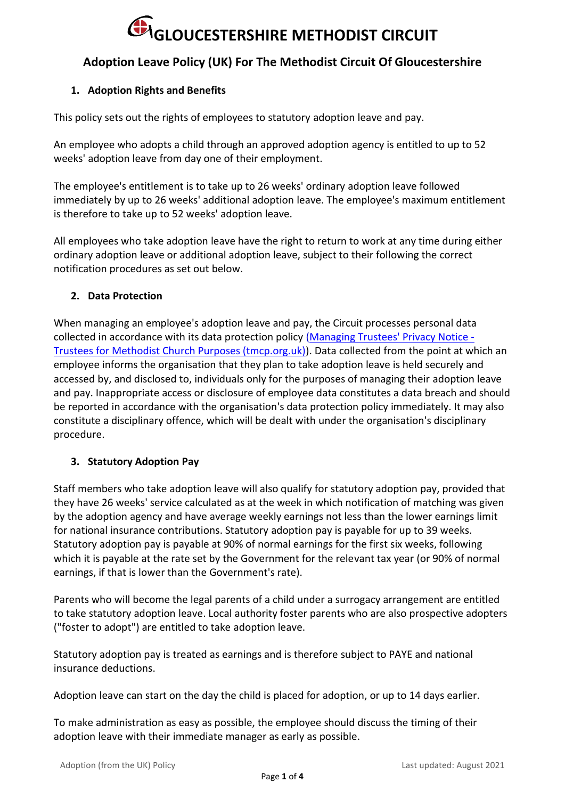## **GLOUCESTERSHIRE METHODIST CIRCUIT**

#### **Adoption Leave Policy (UK) For The Methodist Circuit Of Gloucestershire**

#### **1. Adoption Rights and Benefits**

This policy sets out the rights of employees to statutory adoption leave and pay.

An employee who adopts a child through an approved adoption agency is entitled to up to 52 weeks' adoption leave from day one of their employment.

The employee's entitlement is to take up to 26 weeks' ordinary adoption leave followed immediately by up to 26 weeks' additional adoption leave. The employee's maximum entitlement is therefore to take up to 52 weeks' adoption leave.

All employees who take adoption leave have the right to return to work at any time during either ordinary adoption leave or additional adoption leave, subject to their following the correct notification procedures as set out below.

#### **2. Data Protection**

When managing an employee's adoption leave and pay, the Circuit processes personal data collected in accordance with its data protection policy [\(Managing Trustees' Privacy Notice -](https://www.tmcp.org.uk/about/data-protection/managing-trustees-privacy-notice) [Trustees for Methodist Church Purposes \(tmcp.org.uk\)\)](https://www.tmcp.org.uk/about/data-protection/managing-trustees-privacy-notice). Data collected from the point at which an employee informs the organisation that they plan to take adoption leave is held securely and accessed by, and disclosed to, individuals only for the purposes of managing their adoption leave and pay. Inappropriate access or disclosure of employee data constitutes a data breach and should be reported in accordance with the organisation's data protection policy immediately. It may also constitute a disciplinary offence, which will be dealt with under the organisation's disciplinary procedure.

#### **3. Statutory Adoption Pay**

Staff members who take adoption leave will also qualify for statutory adoption pay, provided that they have 26 weeks' service calculated as at the week in which notification of matching was given by the adoption agency and have average weekly earnings not less than the lower earnings limit for national insurance contributions. Statutory adoption pay is payable for up to 39 weeks. Statutory adoption pay is payable at 90% of normal earnings for the first six weeks, following which it is payable at the rate set by the Government for the relevant tax year (or 90% of normal earnings, if that is lower than the Government's rate).

Parents who will become the legal parents of a child under a surrogacy arrangement are entitled to take statutory adoption leave. Local authority foster parents who are also prospective adopters ("foster to adopt") are entitled to take adoption leave.

Statutory adoption pay is treated as earnings and is therefore subject to PAYE and national insurance deductions.

Adoption leave can start on the day the child is placed for adoption, or up to 14 days earlier.

To make administration as easy as possible, the employee should discuss the timing of their adoption leave with their immediate manager as early as possible.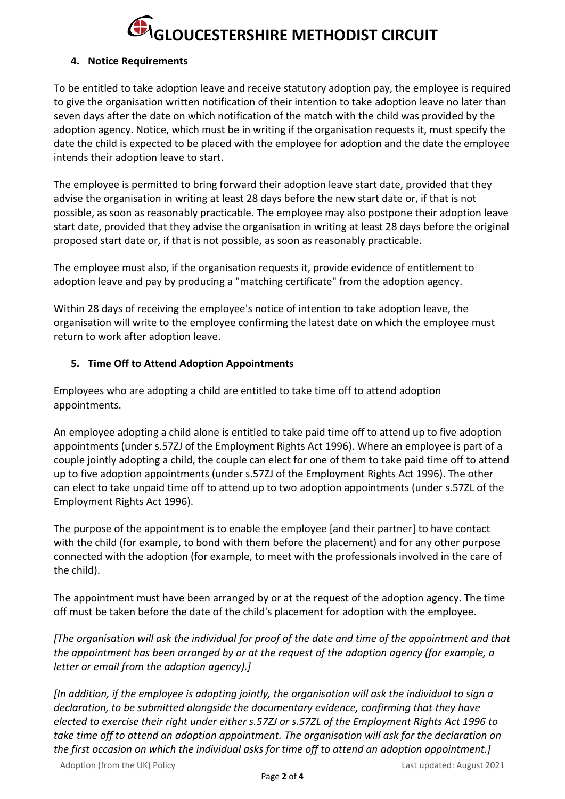### **GLOUCESTERSHIRE METHODIST CIRCUIT**

#### **4. Notice Requirements**

To be entitled to take adoption leave and receive statutory adoption pay, the employee is required to give the organisation written notification of their intention to take adoption leave no later than seven days after the date on which notification of the match with the child was provided by the adoption agency. Notice, which must be in writing if the organisation requests it, must specify the date the child is expected to be placed with the employee for adoption and the date the employee intends their adoption leave to start.

The employee is permitted to bring forward their adoption leave start date, provided that they advise the organisation in writing at least 28 days before the new start date or, if that is not possible, as soon as reasonably practicable. The employee may also postpone their adoption leave start date, provided that they advise the organisation in writing at least 28 days before the original proposed start date or, if that is not possible, as soon as reasonably practicable.

The employee must also, if the organisation requests it, provide evidence of entitlement to adoption leave and pay by producing a "matching certificate" from the adoption agency.

Within 28 days of receiving the employee's notice of intention to take adoption leave, the organisation will write to the employee confirming the latest date on which the employee must return to work after adoption leave.

#### **5. Time Off to Attend Adoption Appointments**

Employees who are adopting a child are entitled to take time off to attend adoption appointments.

An employee adopting a child alone is entitled to take paid time off to attend up to five adoption appointments (under s.57ZJ of the Employment Rights Act 1996). Where an employee is part of a couple jointly adopting a child, the couple can elect for one of them to take paid time off to attend up to five adoption appointments (under s.57ZJ of the Employment Rights Act 1996). The other can elect to take unpaid time off to attend up to two adoption appointments (under s.57ZL of the Employment Rights Act 1996).

The purpose of the appointment is to enable the employee [and their partner] to have contact with the child (for example, to bond with them before the placement) and for any other purpose connected with the adoption (for example, to meet with the professionals involved in the care of the child).

The appointment must have been arranged by or at the request of the adoption agency. The time off must be taken before the date of the child's placement for adoption with the employee.

*[The organisation will ask the individual for proof of the date and time of the appointment and that the appointment has been arranged by or at the request of the adoption agency (for example, a letter or email from the adoption agency).]*

*[In addition, if the employee is adopting jointly, the organisation will ask the individual to sign a declaration, to be submitted alongside the documentary evidence, confirming that they have elected to exercise their right under either s.57ZJ or s.57ZL of the Employment Rights Act 1996 to take time off to attend an adoption appointment. The organisation will ask for the declaration on the first occasion on which the individual asks for time off to attend an adoption appointment.]*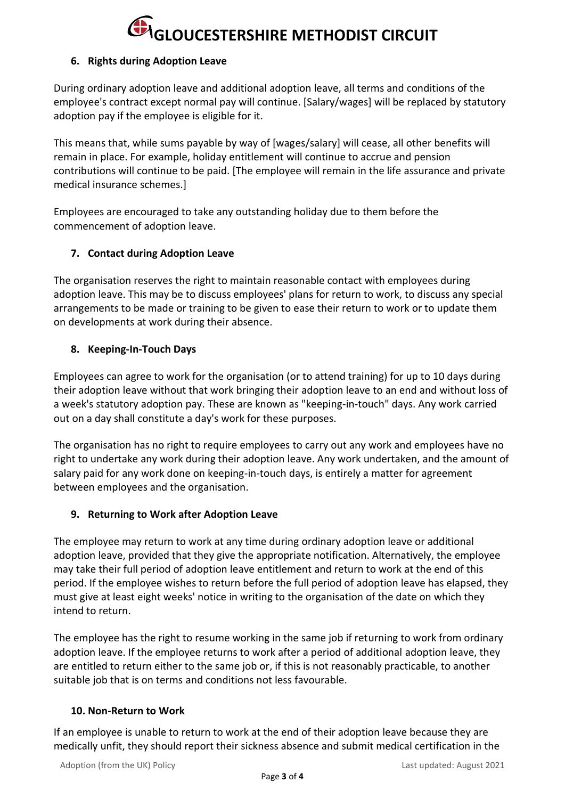### **GLOUCESTERSHIRE METHODIST CIRCUIT**

#### **6. Rights during Adoption Leave**

During ordinary adoption leave and additional adoption leave, all terms and conditions of the employee's contract except normal pay will continue. [Salary/wages] will be replaced by statutory adoption pay if the employee is eligible for it.

This means that, while sums payable by way of [wages/salary] will cease, all other benefits will remain in place. For example, holiday entitlement will continue to accrue and pension contributions will continue to be paid. [The employee will remain in the life assurance and private medical insurance schemes.]

Employees are encouraged to take any outstanding holiday due to them before the commencement of adoption leave.

#### **7. Contact during Adoption Leave**

The organisation reserves the right to maintain reasonable contact with employees during adoption leave. This may be to discuss employees' plans for return to work, to discuss any special arrangements to be made or training to be given to ease their return to work or to update them on developments at work during their absence.

#### **8. Keeping-In-Touch Days**

Employees can agree to work for the organisation (or to attend training) for up to 10 days during their adoption leave without that work bringing their adoption leave to an end and without loss of a week's statutory adoption pay. These are known as "keeping-in-touch" days. Any work carried out on a day shall constitute a day's work for these purposes.

The organisation has no right to require employees to carry out any work and employees have no right to undertake any work during their adoption leave. Any work undertaken, and the amount of salary paid for any work done on keeping-in-touch days, is entirely a matter for agreement between employees and the organisation.

#### **9. Returning to Work after Adoption Leave**

The employee may return to work at any time during ordinary adoption leave or additional adoption leave, provided that they give the appropriate notification. Alternatively, the employee may take their full period of adoption leave entitlement and return to work at the end of this period. If the employee wishes to return before the full period of adoption leave has elapsed, they must give at least eight weeks' notice in writing to the organisation of the date on which they intend to return.

The employee has the right to resume working in the same job if returning to work from ordinary adoption leave. If the employee returns to work after a period of additional adoption leave, they are entitled to return either to the same job or, if this is not reasonably practicable, to another suitable job that is on terms and conditions not less favourable.

#### **10. Non-Return to Work**

If an employee is unable to return to work at the end of their adoption leave because they are medically unfit, they should report their sickness absence and submit medical certification in the